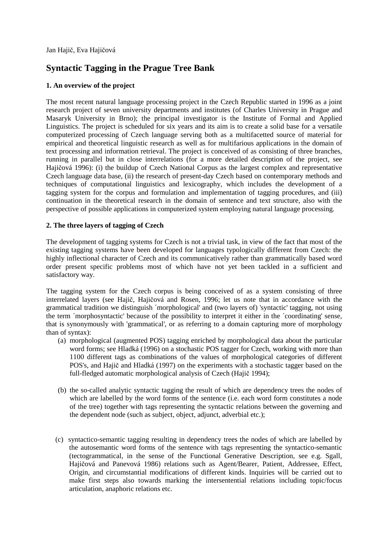Jan Hajič, Eva Hajičová

# **Syntactic Tagging in the Prague Tree Bank**

## **1. An overview of the project**

The most recent natural language processing project in the Czech Republic started in 1996 as a joint research project of seven university departments and institutes (of Charles University in Prague and Masaryk University in Brno); the principal investigator is the Institute of Formal and Applied Linguistics. The project is scheduled for six years and its aim is to create a solid base for a versatile computerized processing of Czech language serving both as a multifacetted source of material for empirical and theoretical linguistic research as well as for multifarious applications in the domain of text processing and information retrieval. The project is conceived of as consisting of three branches, running in parallel but in close interrelations (for a more detailed description of the project, see Hajičová 1996): (i) the buildup of Czech National Corpus as the largest complex and representative Czech language data base, (ii) the research of present-day Czech based on contemporary methods and techniques of computational linguistics and lexicography, which includes the development of a tagging system for the corpus and formulation and implementation of tagging procedures, and (iii) continuation in the theoretical research in the domain of sentence and text structure, also with the perspective of possible applications in computerized system employing natural language processing.

## **2. The three layers of tagging of Czech**

The development of tagging systems for Czech is not a trivial task, in view of the fact that most of the existing tagging systems have been developed for languages typologically different from Czech: the highly inflectional character of Czech and its communicatively rather than grammatically based word order present specific problems most of which have not yet been tackled in a sufficient and satisfactory way.

The tagging system for the Czech corpus is being conceived of as a system consisting of three interrelated layers (see Hajič, Hajičová and Rosen, 1996; let us note that in accordance with the grammatical tradition we distinguish ´morphological' and (two layers of) 'syntactic' tagging, not using the term ´morphosyntactic' because of the possibility to interpret it either in the ´coordinating' sense, that is synonymously with 'grammatical', or as referring to a domain capturing more of morphology than of syntax):

- (a) morphological (augmented POS) tagging enriched by morphological data about the particular word forms; see Hladká (1996) on a stochastic POS tagger for Czech, working with more than 1100 different tags as combinations of the values of morphological categories of different POS's, and Hajič and Hladká (1997) on the experiments with a stochastic tagger based on the full-fledged automatic morphological analysis of Czech (Hajič 1994);
- (b) the so-called analytic syntactic tagging the result of which are dependency trees the nodes of which are labelled by the word forms of the sentence (i.e. each word form constitutes a node of the tree) together with tags representing the syntactic relations between the governing and the dependent node (such as subject, object, adjunct, adverbial etc.);
- (c) syntactico-semantic tagging resulting in dependency trees the nodes of which are labelled by the autosemantic word forms of the sentence with tags representing the syntactico-semantic (tectogrammatical, in the sense of the Functional Generative Description, see e.g. Sgall, Hajičová and Panevová 1986) relations such as Agent/Bearer, Patient, Addressee, Effect, Origin, and circumstantial modifications of different kinds. Inquiries will be carried out to make first steps also towards marking the intersentential relations including topic/focus articulation, anaphoric relations etc.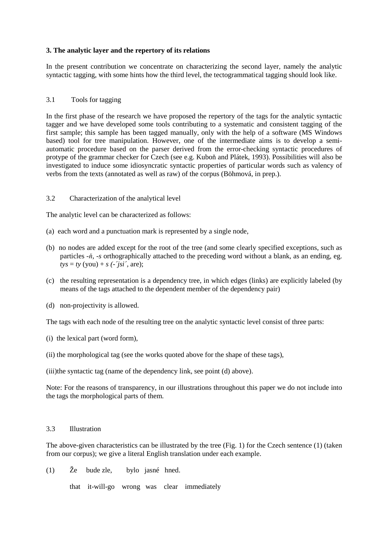## **3. The analytic layer and the repertory of its relations**

In the present contribution we concentrate on characterizing the second layer, namely the analytic syntactic tagging, with some hints how the third level, the tectogrammatical tagging should look like.

### 3.1 Tools for tagging

In the first phase of the research we have proposed the repertory of the tags for the analytic syntactic tagger and we have developed some tools contributing to a systematic and consistent tagging of the first sample; this sample has been tagged manually, only with the help of a software (MS Windows based) tool for tree manipulation. However, one of the intermediate aims is to develop a semiautomatic procedure based on the parser derived from the error-checking syntactic procedures of protype of the grammar checker for Czech (see e.g. Kuboň and Plátek, 1993). Possibilities will also be investigated to induce some idiosyncratic syntactic properties of particular words such as valency of verbs from the texts (annotated as well as raw) of the corpus (Böhmová, in prep.).

### 3.2 Characterization of the analytical level

The analytic level can be characterized as follows:

- (a) each word and a punctuation mark is represented by a single node,
- (b) no nodes are added except for the root of the tree (and some clearly specified exceptions, such as particles *-*ň*, -s* orthographically attached to the preceding word without a blank, as an ending, eg.  $tys = ty$  (you) + *s* (-'*jsi*', are);
- (c) the resulting representation is a dependency tree, in which edges (links) are explicitly labeled (by means of the tags attached to the dependent member of the dependency pair)
- (d) non-projectivity is allowed.

The tags with each node of the resulting tree on the analytic syntactic level consist of three parts:

- (i) the lexical part (word form),
- (ii) the morphological tag (see the works quoted above for the shape of these tags),
- (iii)the syntactic tag (name of the dependency link, see point (d) above).

Note: For the reasons of transparency, in our illustrations throughout this paper we do not include into the tags the morphological parts of them.

#### 3.3 Illustration

The above-given characteristics can be illustrated by the tree (Fig. 1) for the Czech sentence (1) (taken from our corpus); we give a literal English translation under each example.

(1) Že bude zle, bylo jasné hned.

that it-will-go wrong was clear immediately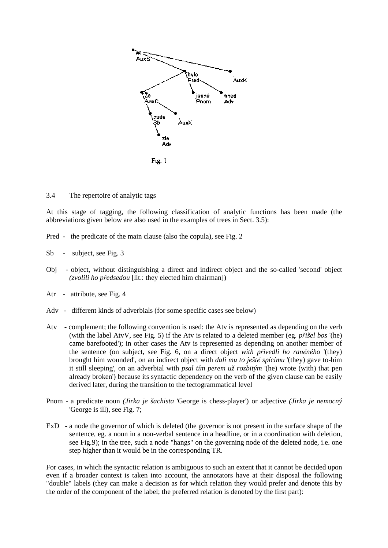

3.4 The repertoire of analytic tags

At this stage of tagging, the following classification of analytic functions has been made (the abbreviations given below are also used in the examples of trees in Sect. 3.5):

- Pred the predicate of the main clause (also the copula), see Fig. 2
- Sb subject, see Fig. 3
- Obj object, without distinguishing a direct and indirect object and the so-called 'second' object *(zvolili ho p*ř*edsedou* [lit.: they elected him chairman])
- Atr attribute, see Fig. 4
- Adv different kinds of adverbials (for some specific cases see below)
- Atv complement; the following convention is used: the Atv is represented as depending on the verb (with the label AtvV, see Fig. 5) if the Atv is related to a deleted member (eg. *p*ř*išel bos* '(he) came barefooted'); in other cases the Atv is represented as depending on another member of the sentence (on subject, see Fig. 6, on a direct object *with p*ř*ivedli ho ran*ě*ného* '(they) brought him wounded', on an indirect object with *dali mu to ješt*ě *spícímu* '(they) gave to-him it still sleeping', on an adverbial with *psal tím perem už rozbitým* '(he) wrote (with) that pen already broken') because its syntactic dependency on the verb of the given clause can be easily derived later, during the transition to the tectogrammatical level
- Pnom a predicate noun *(Jirka je šachista* 'George is chess-player') or adjective *(Jirka je nemocný*  'George is ill), see Fig. 7;
- ExD a node the governor of which is deleted (the governor is not present in the surface shape of the sentence, eg. a noun in a non-verbal sentence in a headline, or in a coordination with deletion, see Fig.9); in the tree, such a node "hangs" on the governing node of the deleted node, i.e. one step higher than it would be in the corresponding TR.

For cases, in which the syntactic relation is ambiguous to such an extent that it cannot be decided upon even if a broader context is taken into account, the annotators have at their disposal the following "double" labels (they can make a decision as for which relation they would prefer and denote this by the order of the component of the label; the preferred relation is denoted by the first part):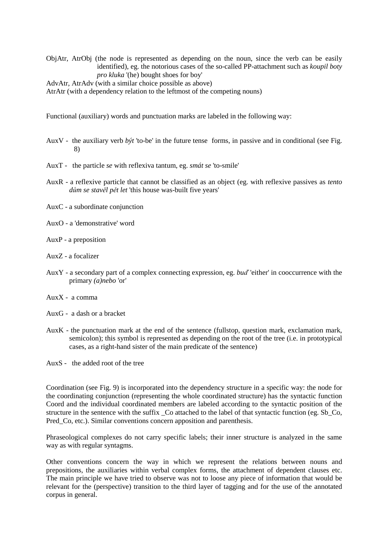ObjAtr, AtrObj (the node is represented as depending on the noun, since the verb can be easily identified), eg. the notorious cases of the so-called PP-attachment such as *koupil boty pro kluka* '(he) bought shoes for boy'

AdvAtr, AtrAdv (with a similar choice possible as above)

AtrAtr (with a dependency relation to the leftmost of the competing nouns)

Functional (auxiliary) words and punctuation marks are labeled in the following way:

- AuxV the auxiliary verb *být* 'to-be' in the future tense forms, in passive and in conditional (see Fig. 8)
- AuxT the particle *se* with reflexiva tantum, eg. *smát se* 'to-smile'
- AuxR a reflexive particle that cannot be classified as an object (eg. with reflexive passives as *tento d*ů*m se stav*ě*l p*ě*t let* 'this house was-built five years'
- AuxC a subordinate conjunction
- AuxO a 'demonstrative' word
- AuxP a preposition
- AuxZ a focalizer
- AuxY a secondary part of a complex connecting expression, eg. *bu*ď 'either' in cooccurrence with the primary *(a)nebo* 'or'
- AuxX a comma
- AuxG a dash or a bracket
- AuxK the punctuation mark at the end of the sentence (fullstop, question mark, exclamation mark, semicolon); this symbol is represented as depending on the root of the tree (i.e. in prototypical cases, as a right-hand sister of the main predicate of the sentence)

AuxS - the added root of the tree

Coordination (see Fig. 9) is incorporated into the dependency structure in a specific way: the node for the coordinating conjunction (representing the whole coordinated structure) has the syntactic function Coord and the individual coordinated members are labeled according to the syntactic position of the structure in the sentence with the suffix Co attached to the label of that syntactic function (eg. Sb Co, Pred\_Co, etc.). Similar conventions concern apposition and parenthesis.

Phraseological complexes do not carry specific labels; their inner structure is analyzed in the same way as with regular syntagms.

Other conventions concern the way in which we represent the relations between nouns and prepositions, the auxiliaries within verbal complex forms, the attachment of dependent clauses etc. The main principle we have tried to observe was not to loose any piece of information that would be relevant for the (perspective) transition to the third layer of tagging and for the use of the annotated corpus in general.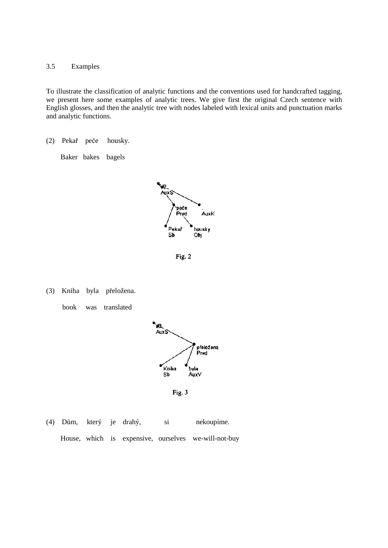3.5 Examples

To illustrate the classification of analytic functions and the conventions used for handcrafted tagging, we present here some examples of analytic trees. We give first the original Czech sentence with English glosses, and then the analytic tree with nodes labeled with lexical units and punctuation marks and analytic functions.

(2) Pekař peče housky.

Baker bakes bagels



Fig. 2

(3) Kniha byla přeložena.

book was translated



Fig. 3

(4) Dům, který je drahý, si nekoupíme. House, which is expensive, ourselves we-will-not-buy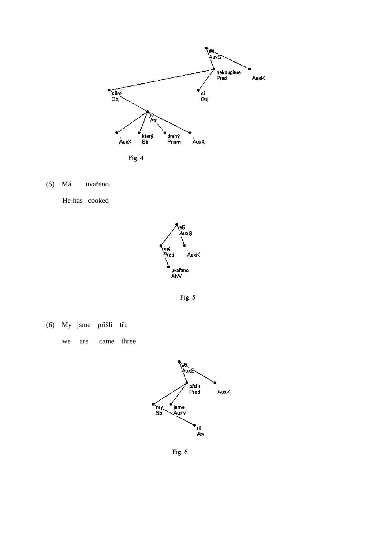

 $(5)$  Má uvařeno.

He-has cooked



Fig. 5

(6) My jsme přišli tři.

came three we are



Fig. 6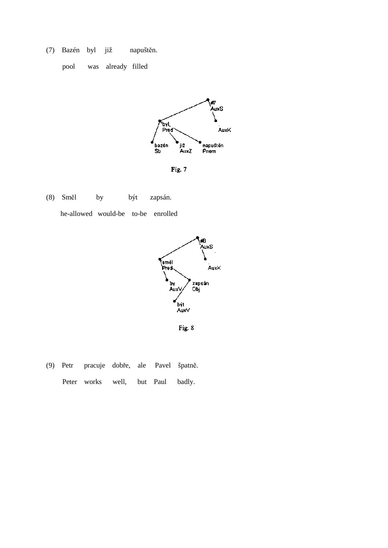(7) Bazén byl již napuštěn.





Fig. 7

(8) Směl by být zapsán. he-allowed would-be to-be enrolled



Fig. 8

(9) Petr pracuje dobře, ale Pavel špatně. Peter works well, but Paul badly.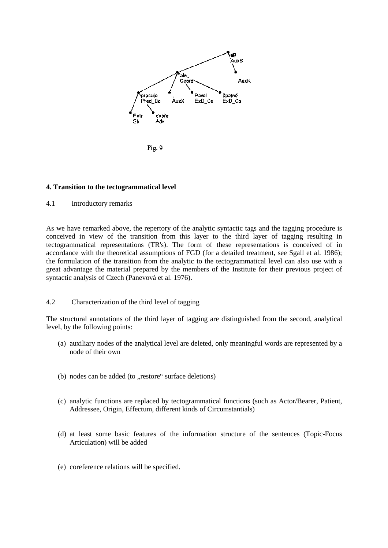

Fig. 9

## **4. Transition to the tectogrammatical level**

4.1 Introductory remarks

As we have remarked above, the repertory of the analytic syntactic tags and the tagging procedure is conceived in view of the transition from this layer to the third layer of tagging resulting in tectogrammatical representations (TR's). The form of these representations is conceived of in accordance with the theoretical assumptions of FGD (for a detailed treatment, see Sgall et al. 1986); the formulation of the transition from the analytic to the tectogrammatical level can also use with a great advantage the material prepared by the members of the Institute for their previous project of syntactic analysis of Czech (Panevová et al. 1976).

## 4.2 Characterization of the third level of tagging

The structural annotations of the third layer of tagging are distinguished from the second, analytical level, by the following points:

- (a) auxiliary nodes of the analytical level are deleted, only meaningful words are represented by a node of their own
- (b) nodes can be added (to "restore" surface deletions)
- (c) analytic functions are replaced by tectogrammatical functions (such as Actor/Bearer, Patient, Addressee, Origin, Effectum, different kinds of Circumstantials)
- (d) at least some basic features of the information structure of the sentences (Topic-Focus Articulation) will be added
- (e) coreference relations will be specified.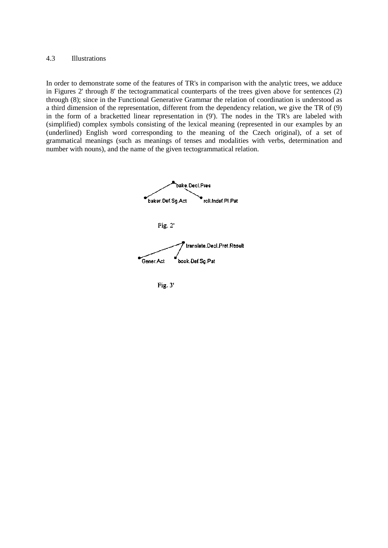#### 4.3 Illustrations

In order to demonstrate some of the features of TR's in comparison with the analytic trees, we adduce in Figures 2' through 8' the tectogrammatical counterparts of the trees given above for sentences (2) through (8); since in the Functional Generative Grammar the relation of coordination is understood as a third dimension of the representation, different from the dependency relation, we give the TR of (9) in the form of a bracketted linear representation in (9'). The nodes in the TR's are labeled with (simplified) complex symbols consisting of the lexical meaning (represented in our examples by an (underlined) English word corresponding to the meaning of the Czech original), of a set of grammatical meanings (such as meanings of tenses and modalities with verbs, determination and number with nouns), and the name of the given tectogrammatical relation.



Fig. 3'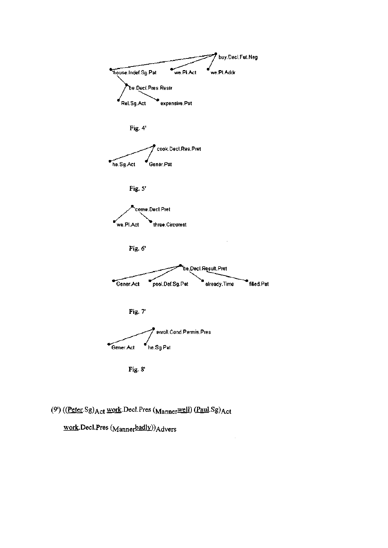

Fig. 8'

# (9') ((Peter.Sg) Act work.Decl.Pres (Mannerwell) (Paul.Sg) Act

work.Decl.Pres (Mannerbadly))Advers